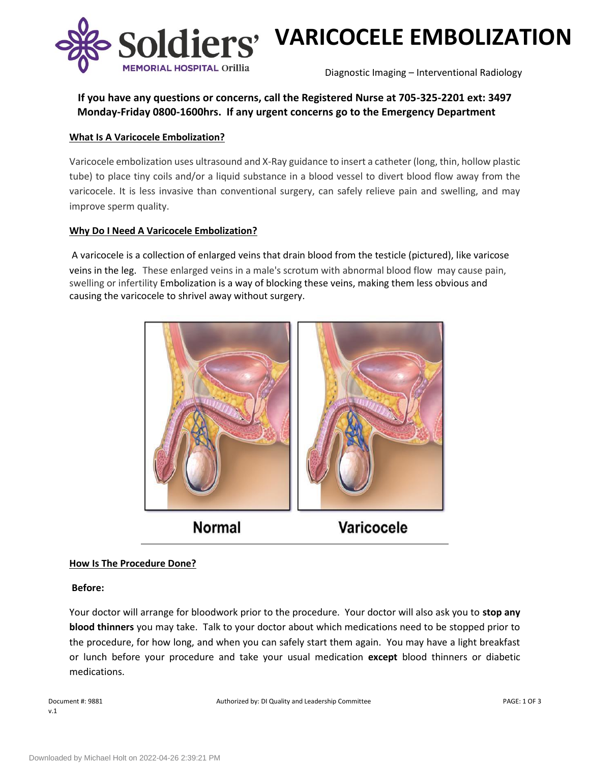



Diagnostic Imaging – Interventional Radiology

## **If you have any questions or concerns, call the Registered Nurse at 705-325-2201 ext: 3497 Monday-Friday 0800-1600hrs. If any urgent concerns go to the Emergency Department**

## **What Is A Varicocele Embolization?**

Varicocele embolization uses ultrasound and X-Ray guidance to insert a catheter (long, thin, hollow plastic tube) to place tiny coils and/or a liquid substance in a blood vessel to divert blood flow away from the varicocele. It is less invasive than conventional surgery, can safely relieve pain and swelling, and may improve sperm quality.

## **Why Do I Need A Varicocele Embolization?**

A varicocele is a collection of enlarged veins that drain blood from the testicle (pictured), like varicose veins in the leg. These enlarged veins in a male's scrotum with abnormal blood flow may cause pain, swelling or infertility Embolization is a way of blocking these veins, making them less obvious and causing the varicocele to shrivel away without surgery.



#### **How Is The Procedure Done?**

#### **Before:**

Your doctor will arrange for bloodwork prior to the procedure. Your doctor will also ask you to **stop any blood thinners** you may take. Talk to your doctor about which medications need to be stopped prior to the procedure, for how long, and when you can safely start them again. You may have a light breakfast or lunch before your procedure and take your usual medication **except** blood thinners or diabetic medications.

v.1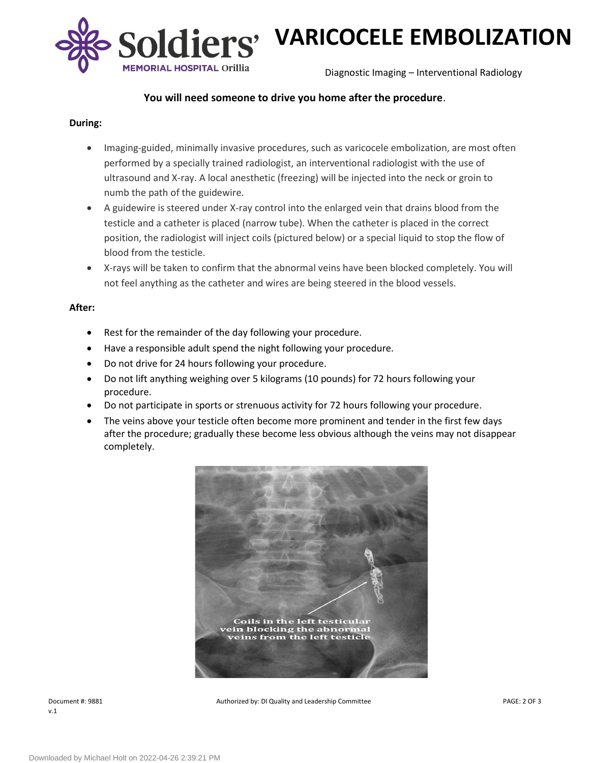

# **VARICOCELE EMBOLIZATION**

Diagnostic Imaging – Interventional Radiology

## **You will need someone to drive you home after the procedure**.

#### **During:**

- Imaging-guided, minimally invasive procedures, such as varicocele embolization, are most often performed by a specially trained radiologist, an interventional radiologist with the use of ultrasound and X-ray. A local anesthetic (freezing) will be injected into the neck or groin to numb the path of the guidewire.
- A guidewire is steered under X-ray control into the enlarged vein that drains blood from the testicle and a catheter is placed (narrow tube). When the catheter is placed in the correct position, the radiologist will inject coils (pictured below) or a special liquid to stop the flow of blood from the testicle.
- X-rays will be taken to confirm that the abnormal veins have been blocked completely. You will not feel anything as the catheter and wires are being steered in the blood vessels.

#### **After:**

- Rest for the remainder of the day following your procedure.
- Have a responsible adult spend the night following your procedure.
- Do not drive for 24 hours following your procedure.
- Do not lift anything weighing over 5 kilograms (10 pounds) for 72 hours following your procedure.
- Do not participate in sports or strenuous activity for 72 hours following your procedure.
- The veins above your testicle often become more prominent and tender in the first few days after the procedure; gradually these become less obvious although the veins may not disappear completely.



v.1

Document #: 9881 PAGE: 2 OF 3 Authorized by: DI Quality and Leadership Committee PAGE: 2 OF 3